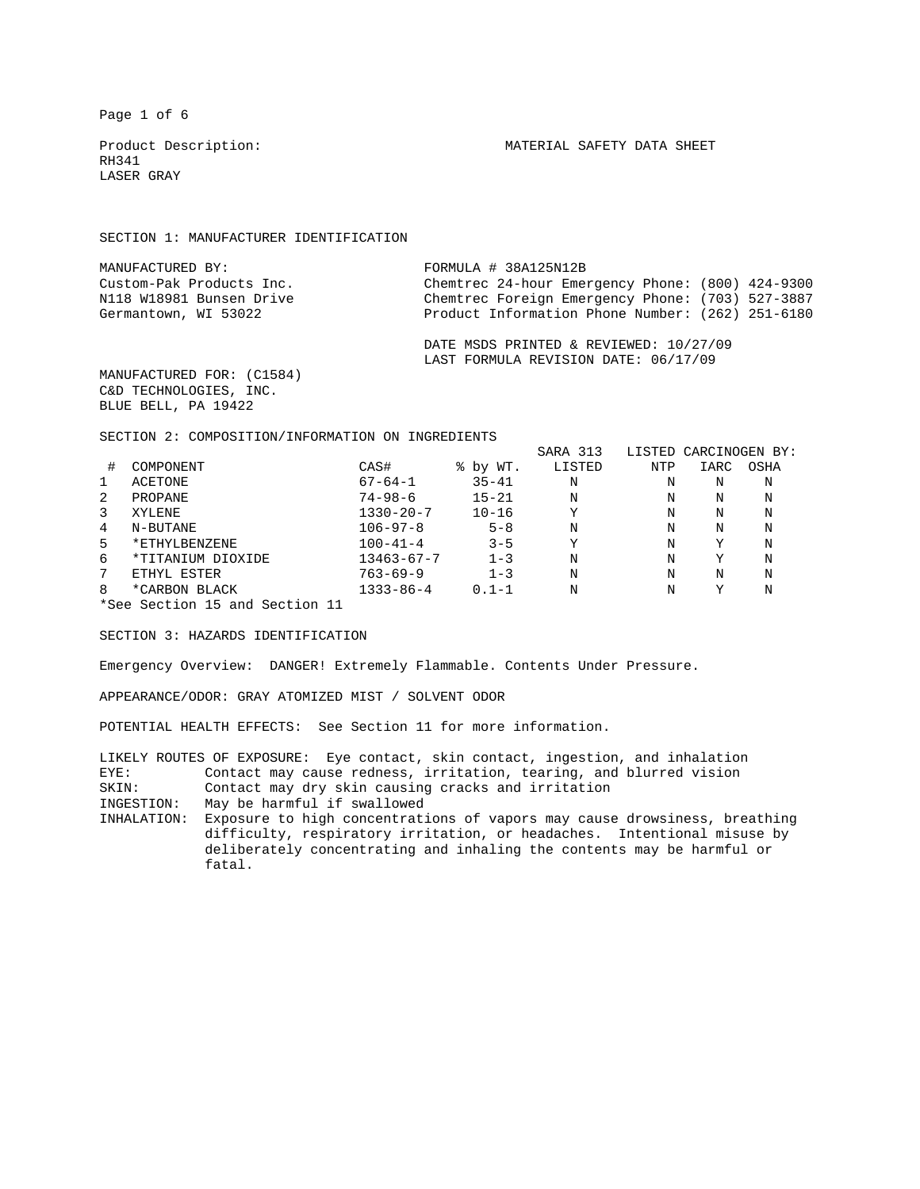Page 1 of 6

RH341 LASER GRAY

SECTION 1: MANUFACTURER IDENTIFICATION

| MANUFACTURED BY:         | FORMULA # 38A125N12B                             |
|--------------------------|--------------------------------------------------|
| Custom-Pak Products Inc. | Chemtrec 24-hour Emergency Phone: (800) 424-9300 |
| N118 W18981 Bunsen Drive | Chemtrec Foreign Emergency Phone: (703) 527-3887 |
| Germantown, WI 53022     | Product Information Phone Number: (262) 251-6180 |
|                          |                                                  |

 DATE MSDS PRINTED & REVIEWED: 10/27/09 LAST FORMULA REVISION DATE: 06/17/09

MANUFACTURED FOR: (C1584) C&D TECHNOLOGIES, INC. BLUE BELL, PA 19422

SECTION 2: COMPOSITION/INFORMATION ON INGREDIENTS

|                                |                   |                  |           | SARA 313 | LISTED CARCINOGEN BY: |      |      |
|--------------------------------|-------------------|------------------|-----------|----------|-----------------------|------|------|
| #                              | COMPONENT         | CAS#             | % by WT.  | LISTED   | NTP                   | IARC | OSHA |
|                                | <b>ACETONE</b>    | $67 - 64 - 1$    | $35 - 41$ | N        | N                     | N    | N    |
| 2                              | PROPANE           | $74 - 98 - 6$    | $15 - 21$ | N        | N                     | N    | N    |
| 3                              | XYLENE            | $1330 - 20 - 7$  | $10 - 16$ | Y        | N                     | N    | N    |
| 4                              | N-BUTANE          | $106 - 97 - 8$   | $5 - 8$   | N        | N                     | N    | N    |
| 5                              | *ETHYLBENZENE     | $100 - 41 - 4$   | $3 - 5$   | Υ        | N                     | Y    | N    |
| 6                              | *TITANIUM DIOXIDE | $13463 - 67 - 7$ | $1 - 3$   | N        | N                     | Y    | N    |
| 7                              | ETHYL ESTER       | $763 - 69 - 9$   | $1 - 3$   | N        | N                     | N    | N    |
| 8                              | *CARBON BLACK     | $1333 - 86 - 4$  | $0.1 - 1$ | N        | Ν                     | Υ    | N    |
| *See Section 15 and Section 11 |                   |                  |           |          |                       |      |      |

SECTION 3: HAZARDS IDENTIFICATION

Emergency Overview: DANGER! Extremely Flammable. Contents Under Pressure.

APPEARANCE/ODOR: GRAY ATOMIZED MIST / SOLVENT ODOR

POTENTIAL HEALTH EFFECTS: See Section 11 for more information.

LIKELY ROUTES OF EXPOSURE: Eye contact, skin contact, ingestion, and inhalation<br>EVE: Contact may cause redness irritation tearing and blurred vision EYE: Contact may cause redness, irritation, tearing, and blurred vision<br>SKIN: Contact may dry skin causing cracks and irritation Contact may dry skin causing cracks and irritation

INGESTION: May be harmful if swallowed

INHALATION: Exposure to high concentrations of vapors may cause drowsiness, breathing difficulty, respiratory irritation, or headaches. Intentional misuse by deliberately concentrating and inhaling the contents may be harmful or fatal.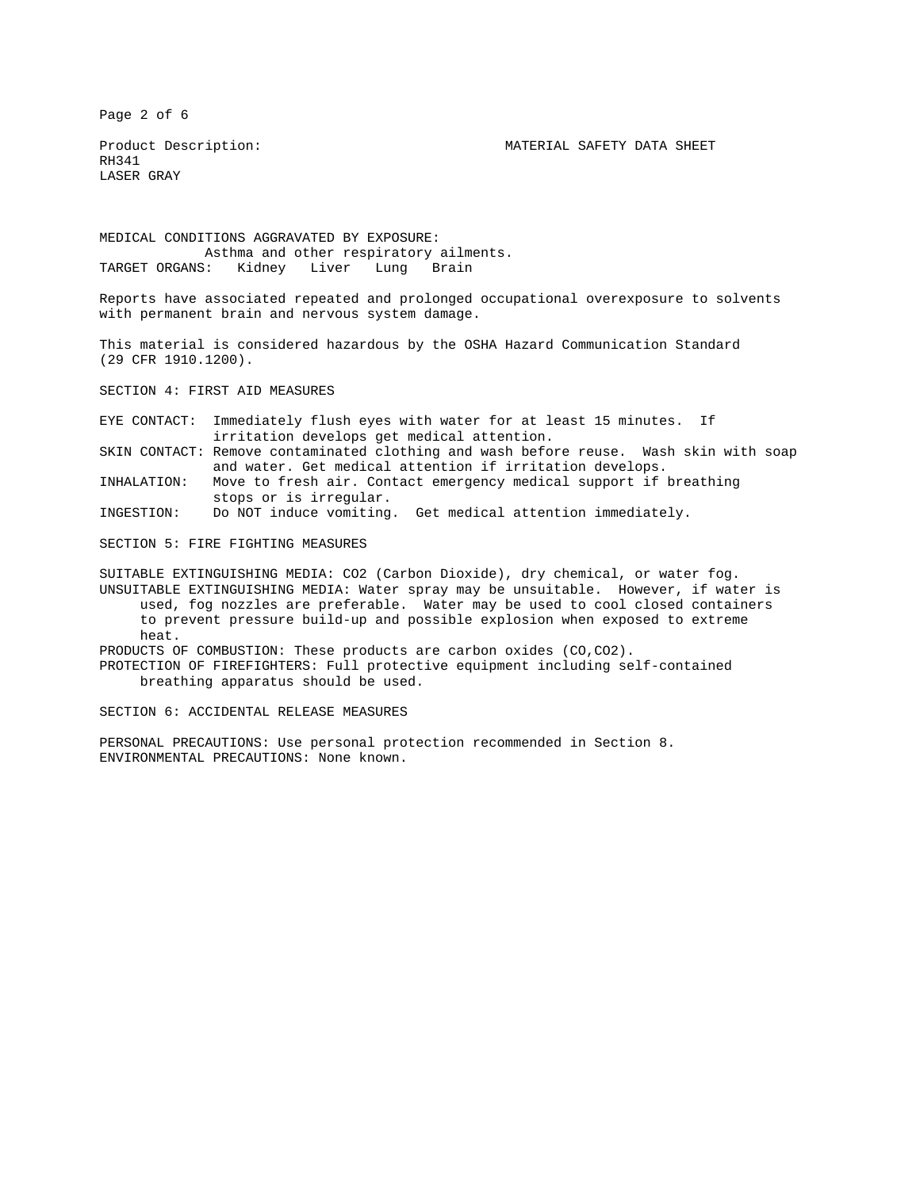Page 2 of 6

Product Description: MATERIAL SAFETY DATA SHEET

RH341 LASER GRAY

MEDICAL CONDITIONS AGGRAVATED BY EXPOSURE: Asthma and other respiratory ailments. TARGET ORGANS: Kidney Liver Lung Brain

Reports have associated repeated and prolonged occupational overexposure to solvents with permanent brain and nervous system damage.

This material is considered hazardous by the OSHA Hazard Communication Standard (29 CFR 1910.1200).

SECTION 4: FIRST AID MEASURES

EYE CONTACT: Immediately flush eyes with water for at least 15 minutes. If irritation develops get medical attention.

SKIN CONTACT: Remove contaminated clothing and wash before reuse. Wash skin with soap and water. Get medical attention if irritation develops.

INHALATION: Move to fresh air. Contact emergency medical support if breathing stops or is irregular.

INGESTION: Do NOT induce vomiting. Get medical attention immediately.

SECTION 5: FIRE FIGHTING MEASURES

SUITABLE EXTINGUISHING MEDIA: CO2 (Carbon Dioxide), dry chemical, or water fog. UNSUITABLE EXTINGUISHING MEDIA: Water spray may be unsuitable. However, if water is used, fog nozzles are preferable. Water may be used to cool closed containers to prevent pressure build-up and possible explosion when exposed to extreme heat.

PRODUCTS OF COMBUSTION: These products are carbon oxides (CO,CO2).

PROTECTION OF FIREFIGHTERS: Full protective equipment including self-contained breathing apparatus should be used.

SECTION 6: ACCIDENTAL RELEASE MEASURES

PERSONAL PRECAUTIONS: Use personal protection recommended in Section 8. ENVIRONMENTAL PRECAUTIONS: None known.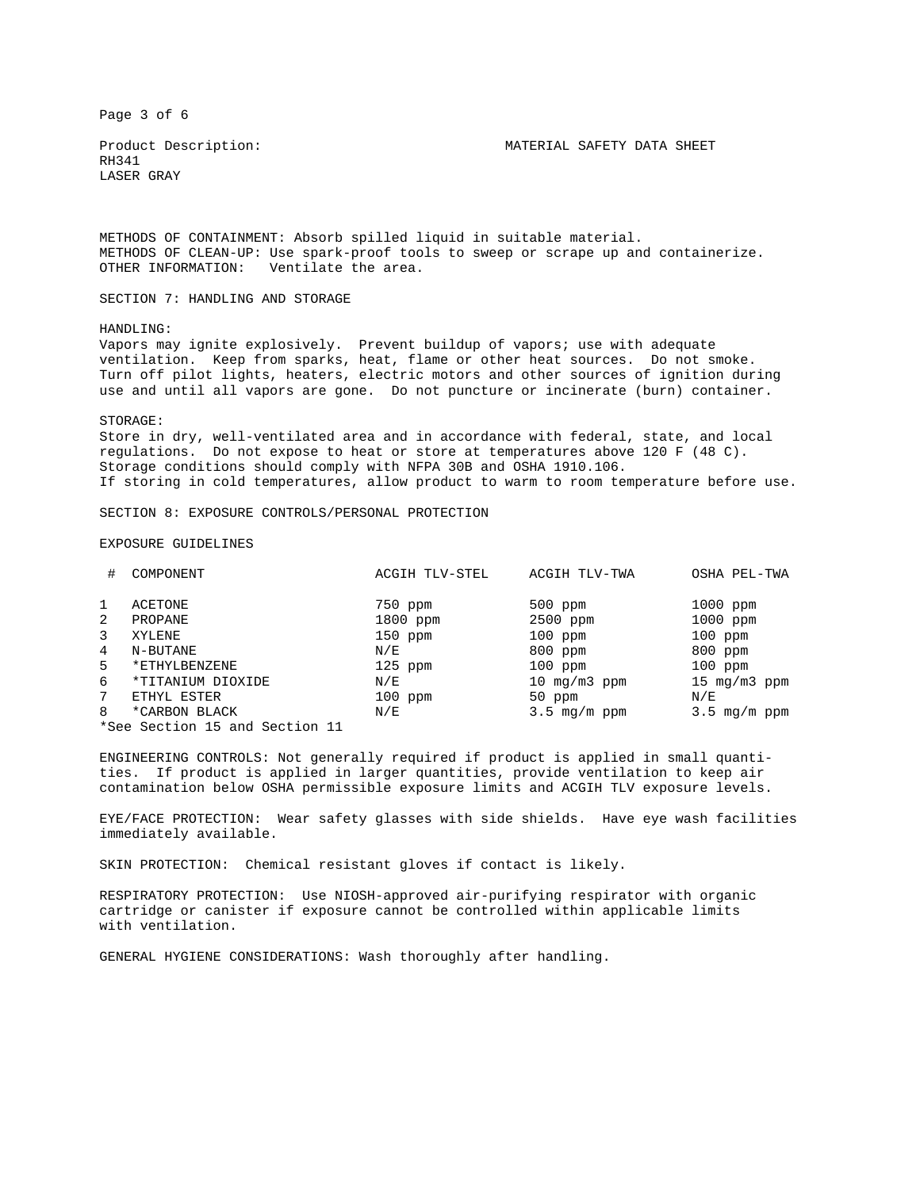Page 3 of 6

RH341 LASER GRAY

Product Description: MATERIAL SAFETY DATA SHEET

METHODS OF CONTAINMENT: Absorb spilled liquid in suitable material. METHODS OF CLEAN-UP: Use spark-proof tools to sweep or scrape up and containerize. OTHER INFORMATION: Ventilate the area.

SECTION 7: HANDLING AND STORAGE

HANDLING:

Vapors may ignite explosively. Prevent buildup of vapors; use with adequate ventilation. Keep from sparks, heat, flame or other heat sources. Do not smoke. Turn off pilot lights, heaters, electric motors and other sources of ignition during use and until all vapors are gone. Do not puncture or incinerate (burn) container.

## STORAGE:

Store in dry, well-ventilated area and in accordance with federal, state, and local regulations. Do not expose to heat or store at temperatures above 120 F (48 C). Storage conditions should comply with NFPA 30B and OSHA 1910.106. If storing in cold temperatures, allow product to warm to room temperature before use.

SECTION 8: EXPOSURE CONTROLS/PERSONAL PROTECTION

## EXPOSURE GUIDELINES

| #                 | COMPONENT                                       | ACGIH TLV-STEL      | ACGIH TLV-TWA         | OSHA PEL-TWA             |
|-------------------|-------------------------------------------------|---------------------|-----------------------|--------------------------|
| $\mathbf{1}$<br>2 | ACETONE<br>PROPANE                              | 750 ppm<br>1800 ppm | $500$ ppm<br>2500 ppm | $1000$ ppm<br>$1000$ ppm |
| 3                 | XYLENE                                          | $150$ ppm           | $100$ ppm             | $100$ ppm                |
| 4                 | N-BUTANE                                        | N/E                 | $800$ ppm             | 800 ppm                  |
| 5                 | *ETHYLBENZENE                                   | $125$ ppm           | $100$ ppm             | $100$ ppm                |
| 6                 | *TITANIUM DIOXIDE                               | N/E                 | 10 $mq/m3$ ppm        | 15 $mq/m3$ ppm           |
| 7                 | ETHYL ESTER                                     | $100$ ppm           | 50 ppm                | N/E                      |
| 8                 | *CARBON BLACK<br>*See Section 15 and Section 11 | N/E                 | $3.5 \,$ mg/m $ppm$   | $3.5 \text{ mg/m ppm}$   |

ENGINEERING CONTROLS: Not generally required if product is applied in small quantities. If product is applied in larger quantities, provide ventilation to keep air contamination below OSHA permissible exposure limits and ACGIH TLV exposure levels.

EYE/FACE PROTECTION: Wear safety glasses with side shields. Have eye wash facilities immediately available.

SKIN PROTECTION: Chemical resistant gloves if contact is likely.

RESPIRATORY PROTECTION: Use NIOSH-approved air-purifying respirator with organic cartridge or canister if exposure cannot be controlled within applicable limits with ventilation.

GENERAL HYGIENE CONSIDERATIONS: Wash thoroughly after handling.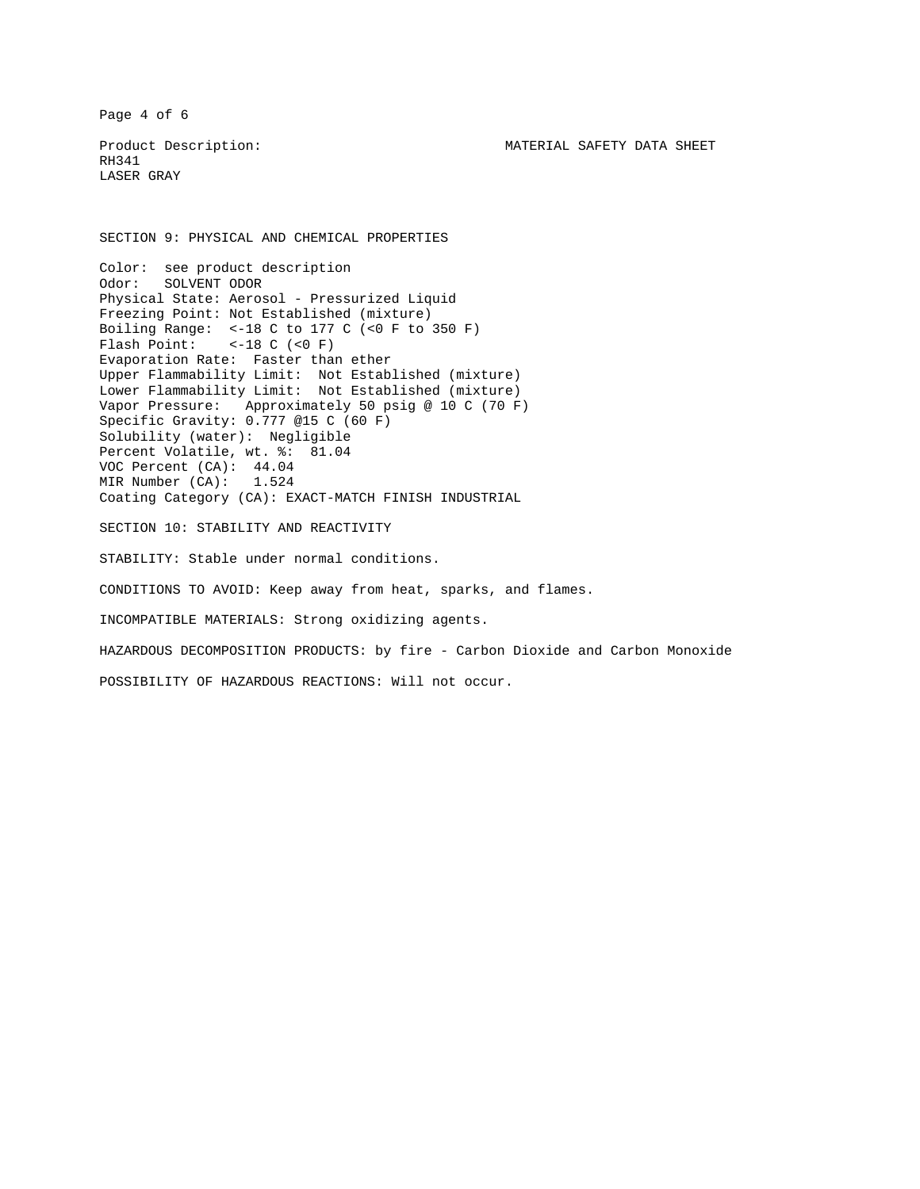Page 4 of 6

RH341 LASER GRAY

SECTION 9: PHYSICAL AND CHEMICAL PROPERTIES

Color: see product description Odor: SOLVENT ODOR Physical State: Aerosol - Pressurized Liquid Freezing Point: Not Established (mixture) Boiling Range: <-18 C to 177 C (<0 F to 350 F) Flash Point:  $<-18$  C  $(<0$  F) Evaporation Rate: Faster than ether Upper Flammability Limit: Not Established (mixture) Lower Flammability Limit: Not Established (mixture) Vapor Pressure: Approximately 50 psig @ 10 C (70 F) Specific Gravity: 0.777 @15 C (60 F) Solubility (water): Negligible Percent Volatile, wt. %: 81.04 VOC Percent (CA): 44.04 MIR Number (CA): 1.524 Coating Category (CA): EXACT-MATCH FINISH INDUSTRIAL SECTION 10: STABILITY AND REACTIVITY STABILITY: Stable under normal conditions. CONDITIONS TO AVOID: Keep away from heat, sparks, and flames. INCOMPATIBLE MATERIALS: Strong oxidizing agents. HAZARDOUS DECOMPOSITION PRODUCTS: by fire - Carbon Dioxide and Carbon Monoxide

POSSIBILITY OF HAZARDOUS REACTIONS: Will not occur.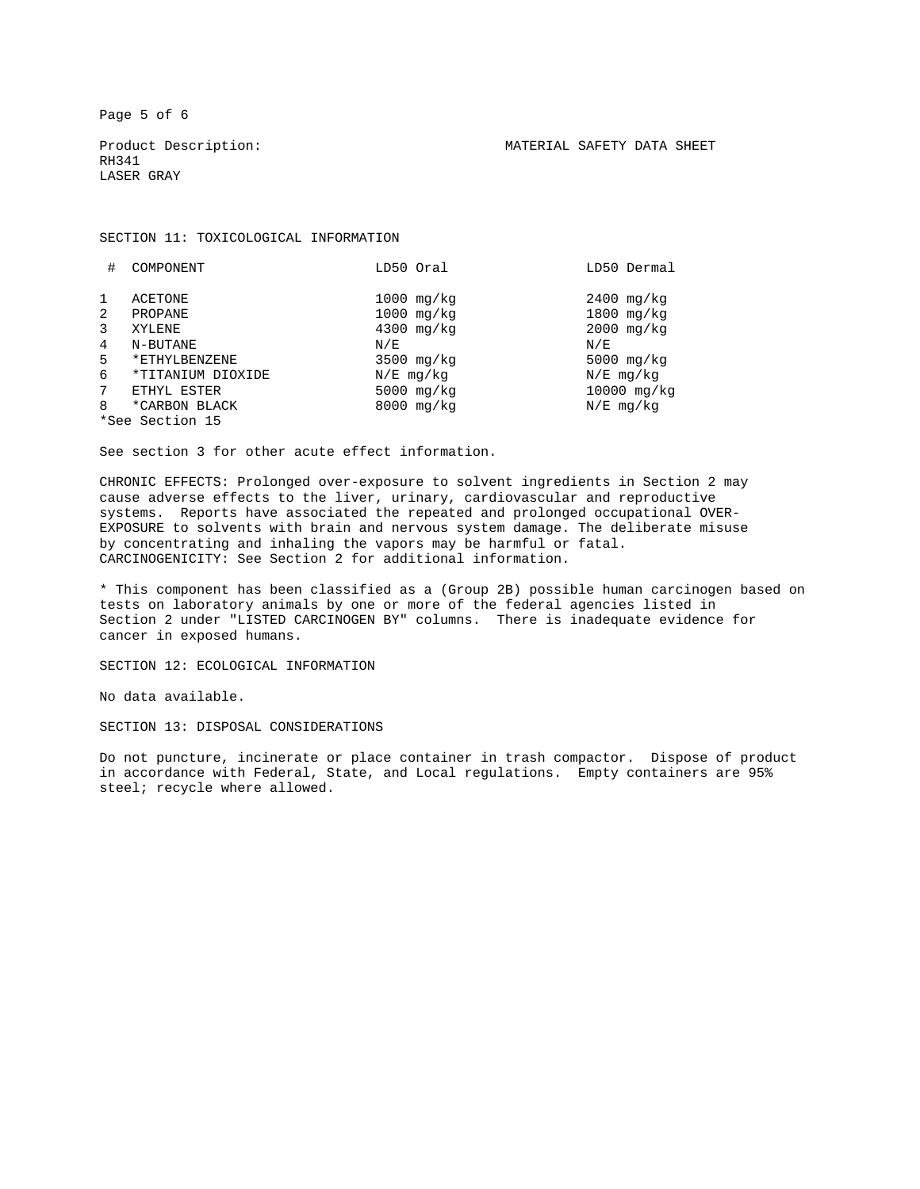Page 5 of 6

RH341 LASER GRAY

SECTION 11: TOXICOLOGICAL INFORMATION

| #              | COMPONENT         | LD50 Oral            | LD50 Dermal     |
|----------------|-------------------|----------------------|-----------------|
|                |                   |                      |                 |
| 1              | ACETONE           | $1000 \text{ mg/kg}$ | $2400$ mg/ $kg$ |
| 2              | PROPANE           | $1000 \text{ mg/kg}$ | $1800$ mg/kg    |
| 3              | XYLENE            | $4300$ mg/kg         | $2000$ mg/ $kg$ |
| $\overline{4}$ | N-BUTANE          | N/E                  | N/E             |
| $5^{\circ}$    | *ETHYLBENZENE     | $3500$ mg/kg         | 5000 $mg/kg$    |
| 6              | *TITANIUM DIOXIDE | $N/E$ mg/ $kq$       | $N/E$ mg/ $kq$  |
| 7              | ETHYL ESTER       | 5000 mg/kg           | 10000 mg/kg     |
| 8              | *CARBON BLACK     | $8000$ mg/ $kg$      | $N/E$ mg/ $kq$  |
|                | *See Section 15   |                      |                 |

See section 3 for other acute effect information.

CHRONIC EFFECTS: Prolonged over-exposure to solvent ingredients in Section 2 may cause adverse effects to the liver, urinary, cardiovascular and reproductive systems. Reports have associated the repeated and prolonged occupational OVER-EXPOSURE to solvents with brain and nervous system damage. The deliberate misuse by concentrating and inhaling the vapors may be harmful or fatal. CARCINOGENICITY: See Section 2 for additional information.

\* This component has been classified as a (Group 2B) possible human carcinogen based on tests on laboratory animals by one or more of the federal agencies listed in Section 2 under "LISTED CARCINOGEN BY" columns. There is inadequate evidence for cancer in exposed humans.

SECTION 12: ECOLOGICAL INFORMATION

No data available.

SECTION 13: DISPOSAL CONSIDERATIONS

Do not puncture, incinerate or place container in trash compactor. Dispose of product in accordance with Federal, State, and Local regulations. Empty containers are 95% steel; recycle where allowed.